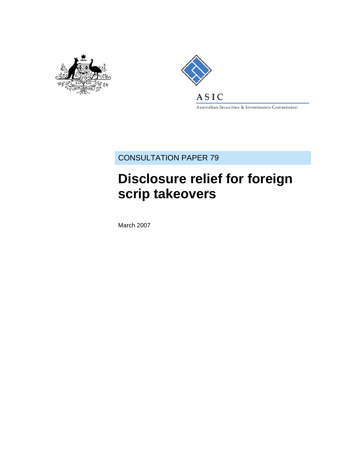



Australian Securities & Investments Commission

CONSULTATION PAPER 79

# **Disclosure relief for foreign scrip takeovers**

March 2007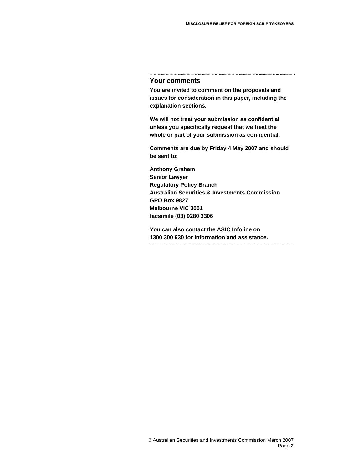#### **Your comments**

**You are invited to comment on the proposals and issues for consideration in this paper, including the explanation sections.** 

**We will not treat your submission as confidential unless you specifically request that we treat the whole or part of your submission as confidential.** 

**Comments are due by Friday 4 May 2007 and should be sent to:** 

**Anthony Graham Senior Lawyer Regulatory Policy Branch Australian Securities & Investments Commission GPO Box 9827 Melbourne VIC 3001 facsimile (03) 9280 3306** 

**You can also contact the ASIC Infoline on 1300 300 630 for information and assistance.**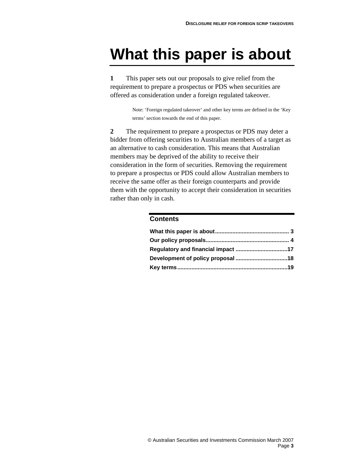# **What this paper is about**

**1** This paper sets out our proposals to give relief from the requirement to prepare a prospectus or PDS when securities are offered as consideration under a foreign regulated takeover.

> Note: 'Foreign regulated takeover' and other key terms are defined in the 'Key terms' section towards the end of this paper.

**2** The requirement to prepare a prospectus or PDS may deter a bidder from offering securities to Australian members of a target as an alternative to cash consideration. This means that Australian members may be deprived of the ability to receive their consideration in the form of securities. Removing the requirement to prepare a prospectus or PDS could allow Australian members to receive the same offer as their foreign counterparts and provide them with the opportunity to accept their consideration in securities rather than only in cash.

#### **Contents**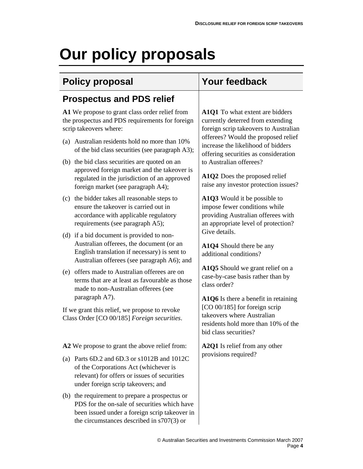# **Our policy proposals**

# **Policy proposal Your feedback**

# **Prospectus and PDS relief**

**A1** We propose to grant class order relief from the prospectus and PDS requirements for foreign scrip takeovers where:

- (a) Australian residents hold no more than 10% of the bid class securities (see paragraph A3);
- (b) the bid class securities are quoted on an approved foreign market and the takeover is regulated in the jurisdiction of an approved foreign market (see paragraph A4);
- (c) the bidder takes all reasonable steps to ensure the takeover is carried out in accordance with applicable regulatory requirements (see paragraph A5);
- (d) if a bid document is provided to non-Australian offerees, the document (or an English translation if necessary) is sent to Australian offerees (see paragraph A6); and
- (e) offers made to Australian offerees are on terms that are at least as favourable as those made to non-Australian offerees (see paragraph A7).

If we grant this relief, we propose to revoke Class Order [CO 00/185] *Foreign securities*.

**A2** We propose to grant the above relief from:

- (a) Parts 6D.2 and 6D.3 or s1012B and 1012C of the Corporations Act (whichever is relevant) for offers or issues of securities under foreign scrip takeovers; and
- (b) the requirement to prepare a prospectus or PDS for the on-sale of securities which have been issued under a foreign scrip takeover in the circumstances described in s707(3) or

**A1Q1** To what extent are bidders currently deterred from extending foreign scrip takeovers to Australian offerees? Would the proposed relief increase the likelihood of bidders offering securities as consideration to Australian offerees?

**A1Q2** Does the proposed relief raise any investor protection issues?

**A1Q3** Would it be possible to impose fewer conditions while providing Australian offerees with an appropriate level of protection? Give details.

**A1Q4** Should there be any additional conditions?

**A1Q5** Should we grant relief on a case-by-case basis rather than by class order?

**A1Q6** Is there a benefit in retaining [CO 00/185] for foreign scrip takeovers where Australian residents hold more than 10% of the bid class securities?

**A2Q1** Is relief from any other provisions required?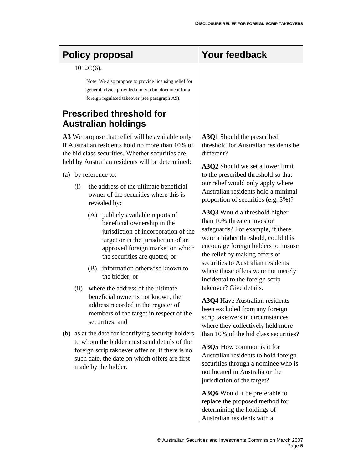# Policy proposal **Your feedback**

1012C(6).

Note: We also propose to provide licensing relief for general advice provided under a bid document for a foreign regulated takeover (see paragraph A9).

## **Prescribed threshold for Australian holdings**

**A3** We propose that relief will be available only if Australian residents hold no more than 10% of the bid class securities. Whether securities are held by Australian residents will be determined:

- (a) by reference to:
	- (i) the address of the ultimate beneficial owner of the securities where this is revealed by:
		- (A) publicly available reports of beneficial ownership in the jurisdiction of incorporation of the target or in the jurisdiction of an approved foreign market on which the securities are quoted; or
		- (B) information otherwise known to the bidder; or
	- (ii) where the address of the ultimate beneficial owner is not known, the address recorded in the register of members of the target in respect of the securities; and
- (b) as at the date for identifying security holders to whom the bidder must send details of the foreign scrip takoever offer or, if there is no such date, the date on which offers are first made by the bidder.

**A3Q1** Should the prescribed threshold for Australian residents be different?

**A3Q2** Should we set a lower limit to the prescribed threshold so that our relief would only apply where Australian residents hold a minimal proportion of securities (e.g. 3%)?

**A3Q3** Would a threshold higher than 10% threaten investor safeguards? For example, if there were a higher threshold, could this encourage foreign bidders to misuse the relief by making offers of securities to Australian residents where those offers were not merely incidental to the foreign scrip takeover? Give details.

**A3Q4** Have Australian residents been excluded from any foreign scrip takeovers in circumstances where they collectively held more than 10% of the bid class securities?

**A3Q5** How common is it for Australian residents to hold foreign securities through a nominee who is not located in Australia or the jurisdiction of the target?

**A3Q6** Would it be preferable to replace the proposed method for determining the holdings of Australian residents with a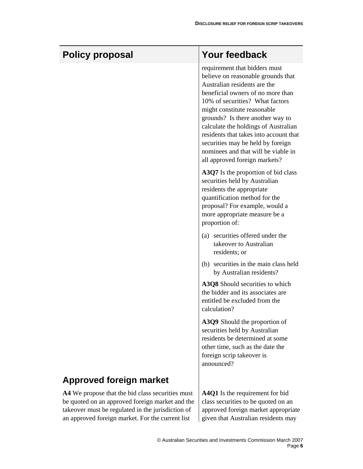|                                                                                                                                                          | <b>Your feedback</b>                                                                                                                                                                                                                                                                                                                                                                                                                          |  |
|----------------------------------------------------------------------------------------------------------------------------------------------------------|-----------------------------------------------------------------------------------------------------------------------------------------------------------------------------------------------------------------------------------------------------------------------------------------------------------------------------------------------------------------------------------------------------------------------------------------------|--|
| <b>Policy proposal</b>                                                                                                                                   |                                                                                                                                                                                                                                                                                                                                                                                                                                               |  |
|                                                                                                                                                          | requirement that bidders must<br>believe on reasonable grounds that<br>Australian residents are the<br>beneficial owners of no more than<br>10% of securities? What factors<br>might constitute reasonable<br>grounds? Is there another way to<br>calculate the holdings of Australian<br>residents that takes into account that<br>securities may be held by foreign<br>nominees and that will be viable in<br>all approved foreign markets? |  |
|                                                                                                                                                          | A3Q7 Is the proportion of bid class<br>securities held by Australian<br>residents the appropriate<br>quantification method for the<br>proposal? For example, would a<br>more appropriate measure be a<br>proportion of:                                                                                                                                                                                                                       |  |
|                                                                                                                                                          | (a) securities offered under the<br>takeover to Australian<br>residents; or                                                                                                                                                                                                                                                                                                                                                                   |  |
|                                                                                                                                                          | (b) securities in the main class held<br>by Australian residents?                                                                                                                                                                                                                                                                                                                                                                             |  |
|                                                                                                                                                          | A3Q8 Should securities to which<br>the bidder and its associates are<br>entitled be excluded from the<br>calculation?                                                                                                                                                                                                                                                                                                                         |  |
|                                                                                                                                                          | A3Q9 Should the proportion of<br>securities held by Australian<br>residents be determined at some<br>other time, such as the date the<br>foreign scrip takeover is<br>announced?                                                                                                                                                                                                                                                              |  |
| <b>Approved foreign market</b>                                                                                                                           |                                                                                                                                                                                                                                                                                                                                                                                                                                               |  |
| A4 We propose that the bid class securities must<br>be quoted on an approved foreign market and the<br>takeover must be regulated in the jurisdiction of | A4Q1 Is the requirement for bid<br>class securities to be quoted on an<br>approved foreign market appropriate                                                                                                                                                                                                                                                                                                                                 |  |

an approved foreign market. For the current list  $\parallel$  given that Australian residents may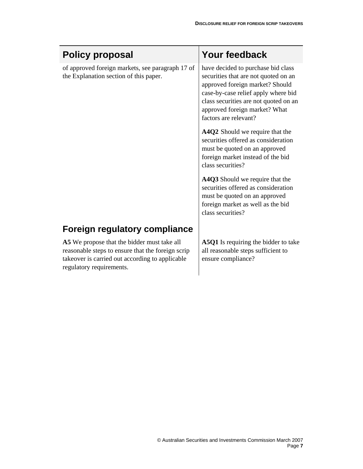| <b>Policy proposal</b>                                                                                                                                                          | <b>Your feedback</b>                                                                                                                                                                                                                                    |
|---------------------------------------------------------------------------------------------------------------------------------------------------------------------------------|---------------------------------------------------------------------------------------------------------------------------------------------------------------------------------------------------------------------------------------------------------|
| of approved foreign markets, see paragraph 17 of<br>the Explanation section of this paper.                                                                                      | have decided to purchase bid class<br>securities that are not quoted on an<br>approved foreign market? Should<br>case-by-case relief apply where bid<br>class securities are not quoted on an<br>approved foreign market? What<br>factors are relevant? |
|                                                                                                                                                                                 | A4Q2 Should we require that the<br>securities offered as consideration<br>must be quoted on an approved<br>foreign market instead of the bid<br>class securities?                                                                                       |
|                                                                                                                                                                                 | A4Q3 Should we require that the<br>securities offered as consideration<br>must be quoted on an approved<br>foreign market as well as the bid<br>class securities?                                                                                       |
| <b>Foreign regulatory compliance</b>                                                                                                                                            |                                                                                                                                                                                                                                                         |
| A5 We propose that the bidder must take all<br>reasonable steps to ensure that the foreign scrip<br>takeover is carried out according to applicable<br>regulatory requirements. | A5Q1 Is requiring the bidder to take<br>all reasonable steps sufficient to<br>ensure compliance?                                                                                                                                                        |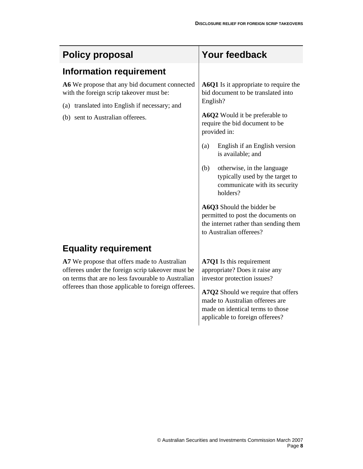| <b>Policy proposal</b>                                                                                                                                                                                         | Your feedback                                                                                                                                |
|----------------------------------------------------------------------------------------------------------------------------------------------------------------------------------------------------------------|----------------------------------------------------------------------------------------------------------------------------------------------|
| <b>Information requirement</b>                                                                                                                                                                                 |                                                                                                                                              |
| A6 We propose that any bid document connected<br>with the foreign scrip takeover must be:<br>(a) translated into English if necessary; and<br>(b) sent to Australian offerees.                                 | <b>A6Q1</b> Is it appropriate to require the<br>bid document to be translated into<br>English?                                               |
|                                                                                                                                                                                                                | A6Q2 Would it be preferable to<br>require the bid document to be<br>provided in:                                                             |
|                                                                                                                                                                                                                | English if an English version<br>(a)<br>is available; and                                                                                    |
|                                                                                                                                                                                                                | (b)<br>otherwise, in the language<br>typically used by the target to<br>communicate with its security<br>holders?                            |
|                                                                                                                                                                                                                | A6Q3 Should the bidder be<br>permitted to post the documents on<br>the internet rather than sending them<br>to Australian offerees?          |
| <b>Equality requirement</b>                                                                                                                                                                                    |                                                                                                                                              |
| A7 We propose that offers made to Australian<br>offerees under the foreign scrip takeover must be<br>on terms that are no less favourable to Australian<br>offerees than those applicable to foreign offerees. | A7Q1 Is this requirement<br>appropriate? Does it raise any<br>investor protection issues?                                                    |
|                                                                                                                                                                                                                | A7Q2 Should we require that offers<br>made to Australian offerees are<br>made on identical terms to those<br>applicable to foreign offerees? |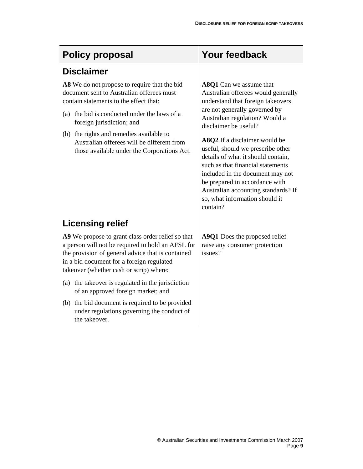# Policy proposal **Your feedback**

### **Disclaimer**

**A8** We do not propose to require that the bid document sent to Australian offerees must contain statements to the effect that:

- (a) the bid is conducted under the laws of a foreign jurisdiction; and
- (b) the rights and remedies available to Australian offerees will be different from those available under the Corporations Act.

**A8Q1** Can we assume that Australian offerees would generally understand that foreign takeovers are not generally governed by Australian regulation? Would a disclaimer be useful?

**A8Q2** If a disclaimer would be useful, should we prescribe other details of what it should contain, such as that financial statements included in the document may not be prepared in accordance with Australian accounting standards? If so, what information should it contain?

# **Licensing relief**

**A9** We propose to grant class order relief so that a person will not be required to hold an AFSL for the provision of general advice that is contained in a bid document for a foreign regulated takeover (whether cash or scrip) where:

- (a) the takeover is regulated in the jurisdiction of an approved foreign market; and
- (b) the bid document is required to be provided under regulations governing the conduct of the takeover.

**A9Q1** Does the proposed relief raise any consumer protection issues?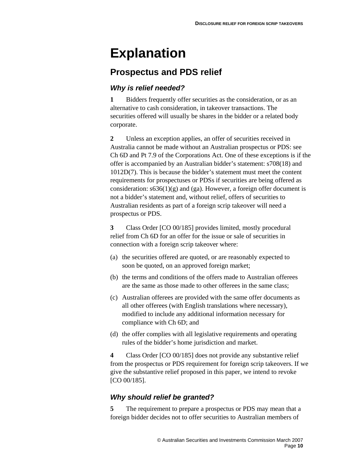# **Explanation**

# **Prospectus and PDS relief**

### *Why is relief needed?*

**1** Bidders frequently offer securities as the consideration, or as an alternative to cash consideration, in takeover transactions. The securities offered will usually be shares in the bidder or a related body corporate.

**2** Unless an exception applies, an offer of securities received in Australia cannot be made without an Australian prospectus or PDS: see Ch 6D and Pt 7.9 of the Corporations Act. One of these exceptions is if the offer is accompanied by an Australian bidder's statement: s708(18) and 1012D(7). This is because the bidder's statement must meet the content requirements for prospectuses or PDSs if securities are being offered as consideration:  $s636(1)(g)$  and (ga). However, a foreign offer document is not a bidder's statement and, without relief, offers of securities to Australian residents as part of a foreign scrip takeover will need a prospectus or PDS.

**3** Class Order [CO 00/185] provides limited, mostly procedural relief from Ch 6D for an offer for the issue or sale of securities in connection with a foreign scrip takeover where:

- (a) the securities offered are quoted, or are reasonably expected to soon be quoted, on an approved foreign market;
- (b) the terms and conditions of the offers made to Australian offerees are the same as those made to other offerees in the same class;
- (c) Australian offerees are provided with the same offer documents as all other offerees (with English translations where necessary), modified to include any additional information necessary for compliance with Ch 6D; and
- (d) the offer complies with all legislative requirements and operating rules of the bidder's home jurisdiction and market.

**4** Class Order [CO 00/185] does not provide any substantive relief from the prospectus or PDS requirement for foreign scrip takeovers. If we give the substantive relief proposed in this paper, we intend to revoke [CO 00/185].

### *Why should relief be granted?*

**5** The requirement to prepare a prospectus or PDS may mean that a foreign bidder decides not to offer securities to Australian members of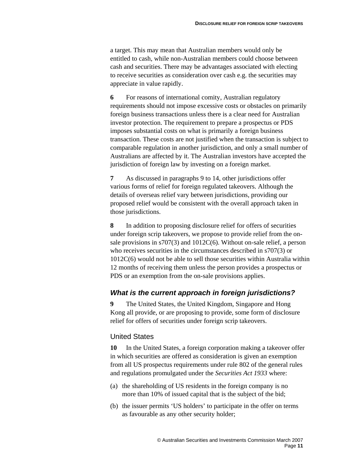a target. This may mean that Australian members would only be entitled to cash, while non-Australian members could choose between cash and securities. There may be advantages associated with electing to receive securities as consideration over cash e.g. the securities may appreciate in value rapidly.

**6** For reasons of international comity, Australian regulatory requirements should not impose excessive costs or obstacles on primarily foreign business transactions unless there is a clear need for Australian investor protection. The requirement to prepare a prospectus or PDS imposes substantial costs on what is primarily a foreign business transaction. These costs are not justified when the transaction is subject to comparable regulation in another jurisdiction, and only a small number of Australians are affected by it. The Australian investors have accepted the jurisdiction of foreign law by investing on a foreign market.

**7** As discussed in paragraphs 9 to 14, other jurisdictions offer various forms of relief for foreign regulated takeovers. Although the details of overseas relief vary between jurisdictions, providing our proposed relief would be consistent with the overall approach taken in those jurisdictions.

**8** In addition to proposing disclosure relief for offers of securities under foreign scrip takeovers, we propose to provide relief from the onsale provisions in s707(3) and 1012C(6). Without on-sale relief, a person who receives securities in the circumstances described in s707(3) or 1012C(6) would not be able to sell those securities within Australia within 12 months of receiving them unless the person provides a prospectus or PDS or an exemption from the on-sale provisions applies.

### *What is the current approach in foreign jurisdictions?*

**9** The United States, the United Kingdom, Singapore and Hong Kong all provide, or are proposing to provide, some form of disclosure relief for offers of securities under foreign scrip takeovers.

### United States

**10** In the United States, a foreign corporation making a takeover offer in which securities are offered as consideration is given an exemption from all US prospectus requirements under rule 802 of the general rules and regulations promulgated under the *Securities Act 1933* where:

- (a) the shareholding of US residents in the foreign company is no more than 10% of issued capital that is the subject of the bid;
- (b) the issuer permits 'US holders' to participate in the offer on terms as favourable as any other security holder;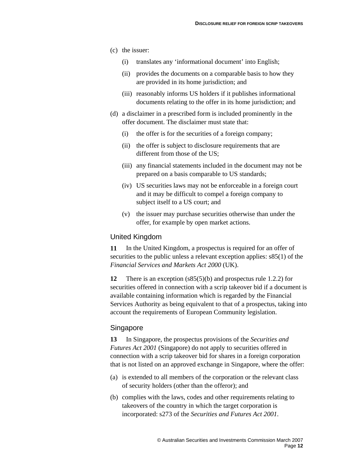- (c) the issuer:
	- (i) translates any 'informational document' into English;
	- (ii) provides the documents on a comparable basis to how they are provided in its home jurisdiction; and
	- (iii) reasonably informs US holders if it publishes informational documents relating to the offer in its home jurisdiction; and
- (d) a disclaimer in a prescribed form is included prominently in the offer document. The disclaimer must state that:
	- (i) the offer is for the securities of a foreign company;
	- (ii) the offer is subject to disclosure requirements that are different from those of the US;
	- (iii) any financial statements included in the document may not be prepared on a basis comparable to US standards;
	- (iv) US securities laws may not be enforceable in a foreign court and it may be difficult to compel a foreign company to subject itself to a US court; and
	- (v) the issuer may purchase securities otherwise than under the offer, for example by open market actions.

#### United Kingdom

**11** In the United Kingdom, a prospectus is required for an offer of securities to the public unless a relevant exception applies:  $s85(1)$  of the *Financial Services and Markets Act 2000* (UK).

**12** There is an exception (s85(5)(b) and prospectus rule 1.2.2) for securities offered in connection with a scrip takeover bid if a document is available containing information which is regarded by the Financial Services Authority as being equivalent to that of a prospectus, taking into account the requirements of European Community legislation.

#### Singapore

**13** In Singapore, the prospectus provisions of the *Securities and Futures Act 2001* (Singapore) do not apply to securities offered in connection with a scrip takeover bid for shares in a foreign corporation that is not listed on an approved exchange in Singapore, where the offer:

- (a) is extended to all members of the corporation or the relevant class of security holders (other than the offeror); and
- (b) complies with the laws, codes and other requirements relating to takeovers of the country in which the target corporation is incorporated: s273 of the *Securities and Futures Act 2001*.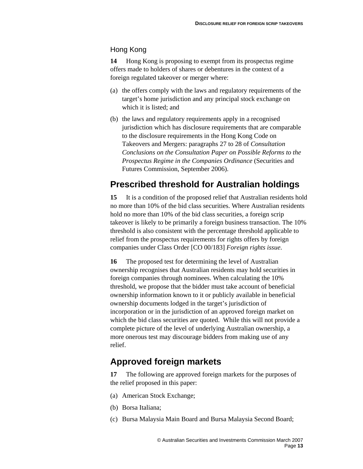### Hong Kong

**14** Hong Kong is proposing to exempt from its prospectus regime offers made to holders of shares or debentures in the context of a foreign regulated takeover or merger where:

- (a) the offers comply with the laws and regulatory requirements of the target's home jurisdiction and any principal stock exchange on which it is listed; and
- (b) the laws and regulatory requirements apply in a recognised jurisdiction which has disclosure requirements that are comparable to the disclosure requirements in the Hong Kong Code on Takeovers and Mergers: paragraphs 27 to 28 of *Consultation Conclusions on the Consultation Paper on Possible Reforms to the Prospectus Regime in the Companies Ordinance* (Securities and Futures Commission, September 2006).

## **Prescribed threshold for Australian holdings**

**15** It is a condition of the proposed relief that Australian residents hold no more than 10% of the bid class securities. Where Australian residents hold no more than 10% of the bid class securities, a foreign scrip takeover is likely to be primarily a foreign business transaction. The 10% threshold is also consistent with the percentage threshold applicable to relief from the prospectus requirements for rights offers by foreign companies under Class Order [CO 00/183] *Foreign rights issue*.

**16** The proposed test for determining the level of Australian ownership recognises that Australian residents may hold securities in foreign companies through nominees. When calculating the 10% threshold, we propose that the bidder must take account of beneficial ownership information known to it or publicly available in beneficial ownership documents lodged in the target's jurisdiction of incorporation or in the jurisdiction of an approved foreign market on which the bid class securities are quoted. While this will not provide a complete picture of the level of underlying Australian ownership, a more onerous test may discourage bidders from making use of any relief.

# **Approved foreign markets**

**17** The following are approved foreign markets for the purposes of the relief proposed in this paper:

- (a) American Stock Exchange;
- (b) Borsa Italiana;
- (c) Bursa Malaysia Main Board and Bursa Malaysia Second Board;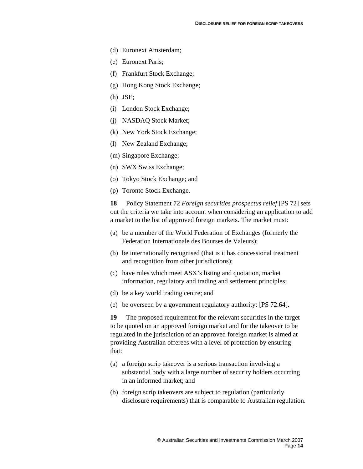- (d) Euronext Amsterdam;
- (e) Euronext Paris;
- (f) Frankfurt Stock Exchange;
- (g) Hong Kong Stock Exchange;
- (h) JSE;
- (i) London Stock Exchange;
- (j) NASDAQ Stock Market;
- (k) New York Stock Exchange;
- (l) New Zealand Exchange;
- (m) Singapore Exchange;
- (n) SWX Swiss Exchange;
- (o) Tokyo Stock Exchange; and
- (p) Toronto Stock Exchange.

**18** Policy Statement 72 *Foreign securities prospectus relief* [PS 72] sets out the criteria we take into account when considering an application to add a market to the list of approved foreign markets. The market must:

- (a) be a member of the World Federation of Exchanges (formerly the Federation Internationale des Bourses de Valeurs);
- (b) be internationally recognised (that is it has concessional treatment and recognition from other jurisdictions);
- (c) have rules which meet ASX's listing and quotation, market information, regulatory and trading and settlement principles;
- (d) be a key world trading centre; and
- (e) be overseen by a government regulatory authority: [PS 72.64].

**19** The proposed requirement for the relevant securities in the target to be quoted on an approved foreign market and for the takeover to be regulated in the jurisdiction of an approved foreign market is aimed at providing Australian offerees with a level of protection by ensuring that:

- (a) a foreign scrip takeover is a serious transaction involving a substantial body with a large number of security holders occurring in an informed market; and
- (b) foreign scrip takeovers are subject to regulation (particularly disclosure requirements) that is comparable to Australian regulation.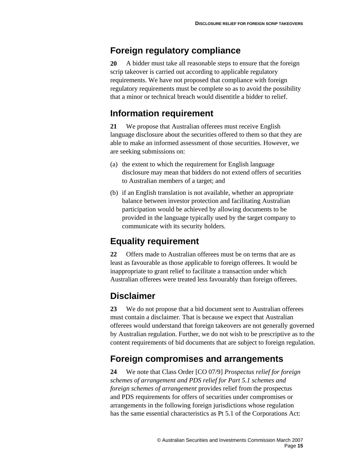## **Foreign regulatory compliance**

**20** A bidder must take all reasonable steps to ensure that the foreign scrip takeover is carried out according to applicable regulatory requirements. We have not proposed that compliance with foreign regulatory requirements must be complete so as to avoid the possibility that a minor or technical breach would disentitle a bidder to relief.

## **Information requirement**

**21** We propose that Australian offerees must receive English language disclosure about the securities offered to them so that they are able to make an informed assessment of those securities. However, we are seeking submissions on:

- (a) the extent to which the requirement for English language disclosure may mean that bidders do not extend offers of securities to Australian members of a target; and
- (b) if an English translation is not available, whether an appropriate balance between investor protection and facilitating Australian participation would be achieved by allowing documents to be provided in the language typically used by the target company to communicate with its security holders.

# **Equality requirement**

**22** Offers made to Australian offerees must be on terms that are as least as favourable as those applicable to foreign offerees. It would be inappropriate to grant relief to facilitate a transaction under which Australian offerees were treated less favourably than foreign offerees.

# **Disclaimer**

**23** We do not propose that a bid document sent to Australian offerees must contain a disclaimer. That is because we expect that Australian offerees would understand that foreign takeovers are not generally governed by Australian regulation. Further, we do not wish to be prescriptive as to the content requirements of bid documents that are subject to foreign regulation.

# **Foreign compromises and arrangements**

**24** We note that Class Order [CO 07/9] *Prospectus relief for foreign schemes of arrangement and PDS relief for Part 5.1 schemes and foreign schemes of arrangement* provides relief from the prospectus and PDS requirements for offers of securities under compromises or arrangements in the following foreign jurisdictions whose regulation has the same essential characteristics as Pt 5.1 of the Corporations Act: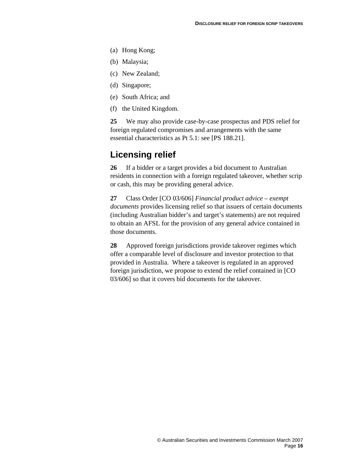- (a) Hong Kong;
- (b) Malaysia;
- (c) New Zealand;
- (d) Singapore;
- (e) South Africa; and
- (f) the United Kingdom.

**25** We may also provide case-by-case prospectus and PDS relief for foreign regulated compromises and arrangements with the same essential characteristics as Pt 5.1: see [PS 188.21].

### **Licensing relief**

**26** If a bidder or a target provides a bid document to Australian residents in connection with a foreign regulated takeover, whether scrip or cash, this may be providing general advice.

**27** Class Order [CO 03/606] *Financial product advice – exempt documents* provides licensing relief so that issuers of certain documents (including Australian bidder's and target's statements) are not required to obtain an AFSL for the provision of any general advice contained in those documents.

**28** Approved foreign jurisdictions provide takeover regimes which offer a comparable level of disclosure and investor protection to that provided in Australia. Where a takeover is regulated in an approved foreign jurisdiction, we propose to extend the relief contained in [CO 03/606] so that it covers bid documents for the takeover.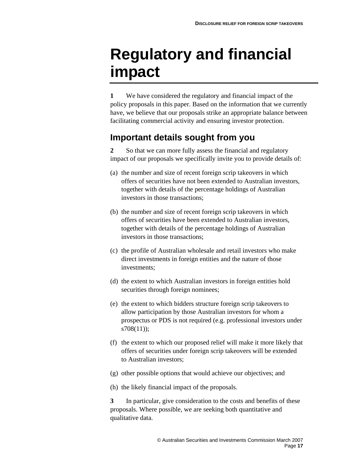# **Regulatory and financial impact**

**1** We have considered the regulatory and financial impact of the policy proposals in this paper. Based on the information that we currently have, we believe that our proposals strike an appropriate balance between facilitating commercial activity and ensuring investor protection.

# **Important details sought from you**

**2** So that we can more fully assess the financial and regulatory impact of our proposals we specifically invite you to provide details of:

- (a) the number and size of recent foreign scrip takeovers in which offers of securities have not been extended to Australian investors, together with details of the percentage holdings of Australian investors in those transactions;
- (b) the number and size of recent foreign scrip takeovers in which offers of securities have been extended to Australian investors, together with details of the percentage holdings of Australian investors in those transactions;
- (c) the profile of Australian wholesale and retail investors who make direct investments in foreign entities and the nature of those investments;
- (d) the extent to which Australian investors in foreign entities hold securities through foreign nominees;
- (e) the extent to which bidders structure foreign scrip takeovers to allow participation by those Australian investors for whom a prospectus or PDS is not required (e.g. professional investors under s708(11));
- (f) the extent to which our proposed relief will make it more likely that offers of securities under foreign scrip takeovers will be extended to Australian investors;
- (g) other possible options that would achieve our objectives; and
- (h) the likely financial impact of the proposals.

**3** In particular, give consideration to the costs and benefits of these proposals. Where possible, we are seeking both quantitative and qualitative data.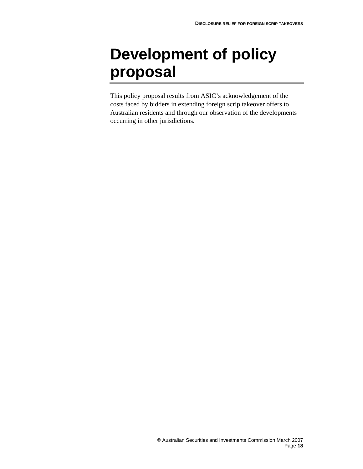# **Development of policy proposal**

This policy proposal results from ASIC's acknowledgement of the costs faced by bidders in extending foreign scrip takeover offers to Australian residents and through our observation of the developments occurring in other jurisdictions.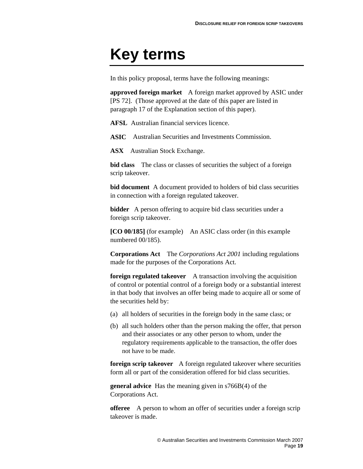# **Key terms**

In this policy proposal, terms have the following meanings:

**approved foreign market** A foreign market approved by ASIC under [PS 72]. (Those approved at the date of this paper are listed in paragraph 17 of the Explanation section of this paper).

**AFSL** Australian financial services licence.

**ASIC** Australian Securities and Investments Commission.

**ASX** Australian Stock Exchange.

**bid class** The class or classes of securities the subject of a foreign scrip takeover.

**bid document** A document provided to holders of bid class securities in connection with a foreign regulated takeover.

**bidder** A person offering to acquire bid class securities under a foreign scrip takeover.

**[CO 00/185]** (for example) An ASIC class order (in this example numbered 00/185).

**Corporations Act** The *Corporations Act 2001* including regulations made for the purposes of the Corporations Act.

**foreign regulated takeover** A transaction involving the acquisition of control or potential control of a foreign body or a substantial interest in that body that involves an offer being made to acquire all or some of the securities held by:

- (a) all holders of securities in the foreign body in the same class; or
- (b) all such holders other than the person making the offer, that person and their associates or any other person to whom, under the regulatory requirements applicable to the transaction, the offer does not have to be made.

**foreign scrip takeover** A foreign regulated takeover where securities form all or part of the consideration offered for bid class securities.

**general advice** Has the meaning given in s766B(4) of the Corporations Act.

**offeree** A person to whom an offer of securities under a foreign scrip takeover is made.